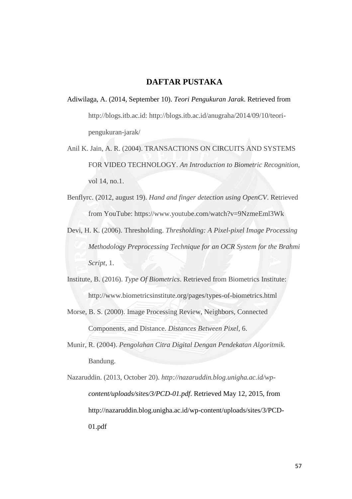## **DAFTAR PUSTAKA**

- Adiwilaga, A. (2014, September 10). *Teori Pengukuran Jarak*. Retrieved from http://blogs.itb.ac.id: http://blogs.itb.ac.id/anugraha/2014/09/10/teoripengukuran-jarak/
- Anil K. Jain, A. R. (2004). TRANSACTIONS ON CIRCUITS AND SYSTEMS FOR VIDEO TECHNOLOGY. *An Introduction to Biometric Recognition*, vol 14, no.1.
- Benflyrc. (2012, august 19). *Hand and finger detection using OpenCV*. Retrieved from YouTube: https://www.youtube.com/watch?v=9NzmeEml3Wk
- Devi, H. K. (2006). Thresholding. *Thresholding: A Pixel-pixel Image Processing Methodology Preprocessing Technique for an OCR System for the Brahmi Script*, 1.
- Institute, B. (2016). *Type Of Biometrics*. Retrieved from Biometrics Institute: http://www.biometricsinstitute.org/pages/types-of-biometrics.html
- Morse, B. S. (2000). Image Processing Review, Neighbors, Connected Components, and Distance. *Distances Between Pixel*, 6.
- Munir, R. (2004). *Pengolahan Citra Digital Dengan Pendekatan Algoritmik.* Bandung.
- Nazaruddin. (2013, October 20). *http://nazaruddin.blog.unigha.ac.id/wpcontent/uploads/sites/3/PCD-01.pdf*. Retrieved May 12, 2015, from http://nazaruddin.blog.unigha.ac.id/wp-content/uploads/sites/3/PCD-01.pdf